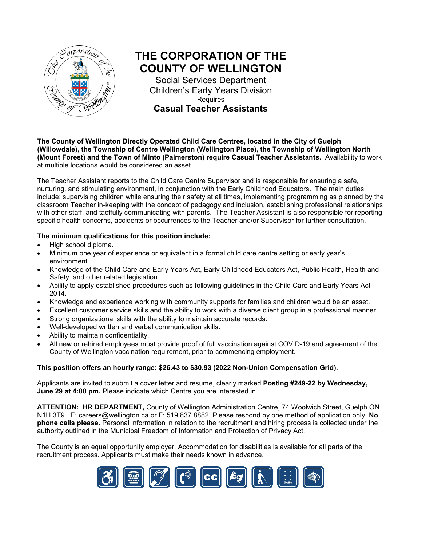

# **THE CORPORATION OF THE COUNTY OF WELLINGTON**

Social Services Department Children's Early Years Division Requires **Casual Teacher Assistants**

**The County of Wellington Directly Operated Child Care Centres, located in the City of Guelph (Willowdale), the Township of Centre Wellington (Wellington Place), the Township of Wellington North (Mount Forest) and the Town of Minto (Palmerston) require Casual Teacher Assistants.** Availability to work at multiple locations would be considered an asset.

The Teacher Assistant reports to the Child Care Centre Supervisor and is responsible for ensuring a safe, nurturing, and stimulating environment, in conjunction with the Early Childhood Educators. The main duties include: supervising children while ensuring their safety at all times, implementing programming as planned by the classroom Teacher in-keeping with the concept of pedagogy and inclusion, establishing professional relationships with other staff, and tactfully communicating with parents. The Teacher Assistant is also responsible for reporting specific health concerns, accidents or occurrences to the Teacher and/or Supervisor for further consultation.

#### **The minimum qualifications for this position include:**

- High school diploma.
- Minimum one year of experience or equivalent in a formal child care centre setting or early year's environment.
- Knowledge of the Child Care and Early Years Act, Early Childhood Educators Act, Public Health, Health and Safety, and other related legislation.
- Ability to apply established procedures such as following guidelines in the Child Care and Early Years Act 2014.
- Knowledge and experience working with community supports for families and children would be an asset.
- Excellent customer service skills and the ability to work with a diverse client group in a professional manner.
- Strong organizational skills with the ability to maintain accurate records.
- Well-developed written and verbal communication skills.
- Ability to maintain confidentiality.
- All new or rehired employees must provide proof of full vaccination against COVID-19 and agreement of the County of Wellington vaccination requirement, prior to commencing employment.

#### **This position offers an hourly range: \$26.43 to \$30.93 (2022 Non-Union Compensation Grid).**

Applicants are invited to submit a cover letter and resume, clearly marked **Posting #249-22 by Wednesday, June 29 at 4:00 pm.** Please indicate which Centre you are interested in.

**ATTENTION: HR DEPARTMENT,** County of Wellington Administration Centre, 74 Woolwich Street, Guelph ON N1H 3T9. E: [careers@wellington.ca](mailto:careers@wellington.ca) or F: 519.837.8882. Please respond by one method of application only. **No phone calls please.** Personal information in relation to the recruitment and hiring process is collected under the authority outlined in the Municipal Freedom of Information and Protection of Privacy Act.

The County is an equal opportunity employer. Accommodation for disabilities is available for all parts of the recruitment process. Applicants must make their needs known in advance.

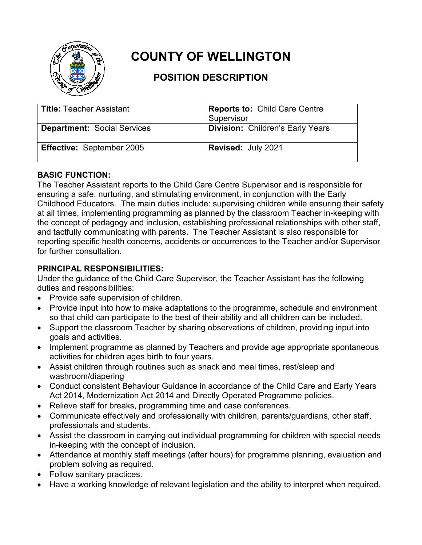

# **COUNTY OF WELLINGTON**

## **POSITION DESCRIPTION**

| <b>Title: Teacher Assistant</b>    | <b>Reports to: Child Care Centre</b><br>Supervisor |
|------------------------------------|----------------------------------------------------|
| <b>Department: Social Services</b> | <b>Division: Children's Early Years</b>            |
| <b>Effective: September 2005</b>   | Revised: July 2021                                 |

### **BASIC FUNCTION:**

The Teacher Assistant reports to the Child Care Centre Supervisor and is responsible for ensuring a safe, nurturing, and stimulating environment, in conjunction with the Early Childhood Educators. The main duties include: supervising children while ensuring their safety at all times, implementing programming as planned by the classroom Teacher in-keeping with the concept of pedagogy and inclusion, establishing professional relationships with other staff, and tactfully communicating with parents. The Teacher Assistant is also responsible for reporting specific health concerns, accidents or occurrences to the Teacher and/or Supervisor for further consultation.

## **PRINCIPAL RESPONSIBILITIES:**

Under the guidance of the Child Care Supervisor, the Teacher Assistant has the following duties and responsibilities:

- Provide safe supervision of children.
- Provide input into how to make adaptations to the programme, schedule and environment so that child can participate to the best of their ability and all children can be included.
- Support the classroom Teacher by sharing observations of children, providing input into goals and activities.
- Implement programme as planned by Teachers and provide age appropriate spontaneous activities for children ages birth to four years.
- Assist children through routines such as snack and meal times, rest/sleep and washroom/diapering
- Conduct consistent Behaviour Guidance in accordance of the Child Care and Early Years Act 2014, Modernization Act 2014 and Directly Operated Programme policies.
- Relieve staff for breaks, programming time and case conferences.
- Communicate effectively and professionally with children, parents/guardians, other staff, professionals and students.
- Assist the classroom in carrying out individual programming for children with special needs in-keeping with the concept of inclusion.
- Attendance at monthly staff meetings (after hours) for programme planning, evaluation and problem solving as required.
- Follow sanitary practices.
- Have a working knowledge of relevant legislation and the ability to interpret when required.